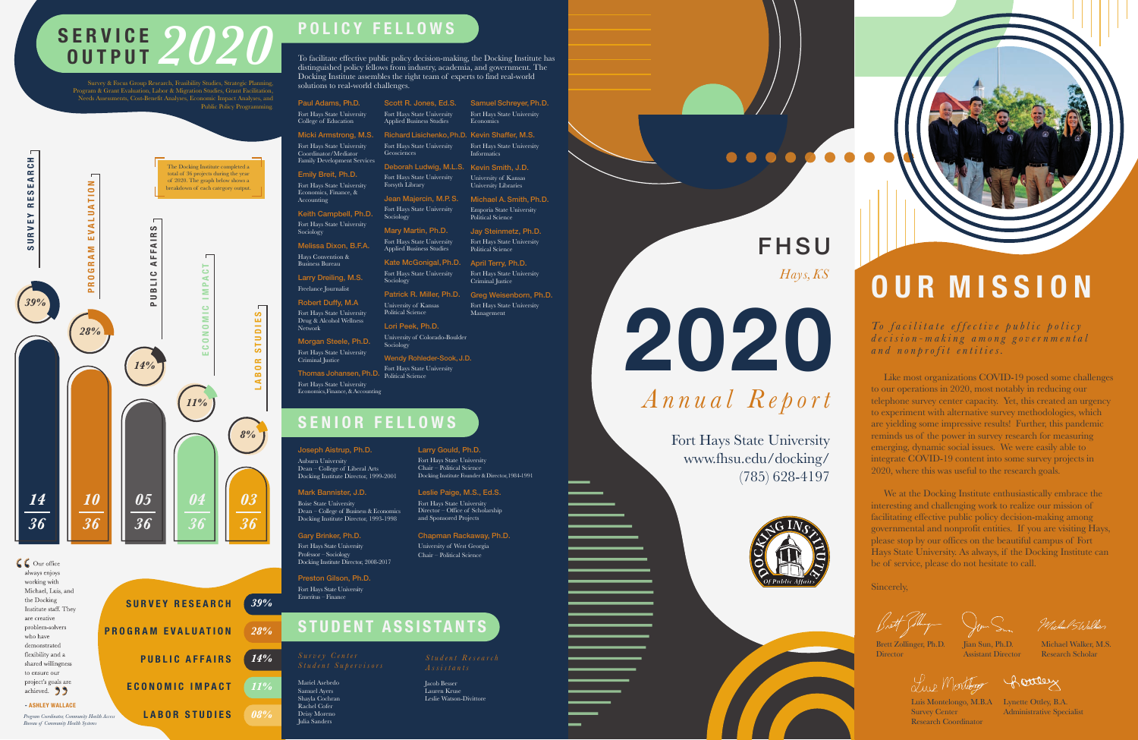# **2020** *Hays, KS*

*Annual Report*

Fort Hays State University www.fhsu.edu/docking/ (785) 628-4197



**FHSU** 

. . . .



*To facilitate effective public policy decision-making among governmental and nonprofit entities.*

## **OUR MISSION**

 Like most organizations COVID-19 posed some challenges to our operations in 2020, most notably in reducing our telephone survey center capacity. Yet, this created an urgency to experiment with alternative survey methodologies, which are yielding some impressive results! Further, this pandemic reminds us of the power in survey research for measuring emerging, dynamic social issues. We were easily able to integrate COVID-19 content into some survey projects in 2020, where this was useful to the research goals.

Luis Montelongo, M.B.A Lynette Ottley, B.A. Administrative Specialist

Michael Stralber

# **SERVICE 2020**

Survey & Focus Group Research, Feasibility Studies, Strategic Planning, Program & Grant Evaluation, Labor & Migration Studies, Grant Facilitation, Needs Assessments, Cost-Benefit Analyses, Economic Impact Analyses, and Public Policy Programming.

> We at the Docking Institute enthusiastically embrace the interesting and challenging work to realize our mission of facilitating effective public policy decision-making among governmental and nonprofit entities. If you are visiting Hays, please stop by our offices on the beautiful campus of Fort Hays State University. As always, if the Docking Institute can be of service, please do not hesitate to call.

Sincerely,

Jian Sun, Ph.D. Assistant Director

Lup Montebogg

Michael Walker, M.S. Research Scholar

Brett Zollinger, Ph.D. Director

Survey Center Research Coordinator

Rottley

| <b>SURVEY RESEARCH</b>                | 39%    |
|---------------------------------------|--------|
| <b>PROGRAM EVALUATION</b>             | 28%    |
| <b>PUBLIC AFFAIRS</b>                 | 14%    |
| <b>ECONOMIC IMPACT</b>                | 11%    |
| <b>LABOR STUDIES</b><br><i>Access</i> | $08\%$ |

Network Morgan Steele, Ph.D. Fort Hays State University Criminal Justice

Fort Hays State University<br>Thomas Johansen, Ph.D. Political Science Fort Hays State University Economics, Finance, & Accounting



*Program Coordinator, Community Health Access Bureau of Community Health Systems*

Ph.D. University of Colorado-Boulder

### **SENIOR FELLOWS**

Larry Gould, Ph.D. Fort Hays State University Chair – Political Science

Docking Institute Founder & Director, 1984-1991

#### Joseph Aistrup, Ph.D.

Auburn University Dean – College of Liberal Arts Docking Institute Director, 1999-2001

Political Science April Terry, Ph.D.

Preston Gilson, Ph.D. Fort Hays State University Emeritus – Finance

#### Mark Bannister, J.D.

Boise State University Dean – College of Business & Economics Docking Institute Director, 1993-1998

Leslie Paige, M.S., Ed.S. Fort Hays State University Director – Office of Scholarship and Sponsored Projects

#### Gary Brinker, Ph.D. Fort Hays State University

Professor – Sociology Docking Institute Director, 2008-2017 Chapman Rackaway, Ph.D. University of West Georgia Chair – Political Science

*Student Research*

Mariel Asebedo Samuel Ayers Shayla Cochran Rachel Cofer Deisy Moreno Julia Sanders

Jacob Besser Lauren Kruse Leslie Watson-Divittore

## **STUDENT ASSISTANTS**

## **POLICY FELLOWS**

| Paul Adams, Ph.D.                                     | Scott R. Jon                                 |
|-------------------------------------------------------|----------------------------------------------|
| Fort Hays State University<br>College of Education    | Fort Hays State<br><b>Applied Busines</b>    |
| Micki Armstrong, M.S.                                 | <b>Richard Lisic</b>                         |
| Fort Hays State University<br>Coordinator/Mediator    | Fort Hays State<br>Geosciences               |
| <b>Family Development Services</b>                    | Deborah Luc                                  |
| Emily Breit, Ph.D.                                    | Fort Hays State                              |
| Fort Hays State University                            | Forsyth Library                              |
| Economics, Finance, &<br>Accounting                   | Jean Majerc                                  |
| Keith Campbell, Ph.D.                                 | Fort Hays State<br>Sociology                 |
| Fort Hays State University<br>Sociology               | Mary Martin,                                 |
| Melissa Dixon, B.F.A.                                 | Fort Hays State<br><b>Applied Busines</b>    |
| Hays Convention &<br><b>Business Bureau</b>           | <b>Kate McGon</b>                            |
| Larry Dreiling, M.S.                                  | Fort Hays State<br>Sociology                 |
| Freelance Journalist                                  | Patrick R. M                                 |
| <b>Robert Duffy, M.A</b>                              |                                              |
|                                                       | University of K:<br><b>Political Science</b> |
| Fort Hays State University<br>Drug & Alcohol Wellness |                                              |
|                                                       | Lori Doole, DI                               |

Richard Lisichenko, Ph.D. Kevin Shaffer, M.S. Deborah Ludwig, M.L.S. Kevin Smith, J.D. Fort Hays State University **Informatics** University of Kansas University Libraries Michael A. Smith, Ph.D. Emporia State University Political Science Jay Steinmetz, Ph.D. Fort Hays State University

Sociology

Wendy Rohleder-Sook, J.D.

Political Science

Samuel Schreyer, Ph.D. Fort Hays State University

**Economics** 

Patrick R. Miller, Ph.D. Greg Weisenborn, Ph.D. Fort Hays State University Criminal Justice

Fort Hays State University Management

To facilitate effective public policy decision-making, the Docking Institute has distinguished policy fellows from industry, academia, and government. The Docking Institute assembles the right team of experts to find real-world solutions to real-world challenges.

> Jones, Ed.S. ate University iness Studies

ate Hniversity

ate University

ercin, M.P. S. ate University

tin, Ph.D. ate University iness Studies Gonigal, Ph.D. ate Universit

f Kansas